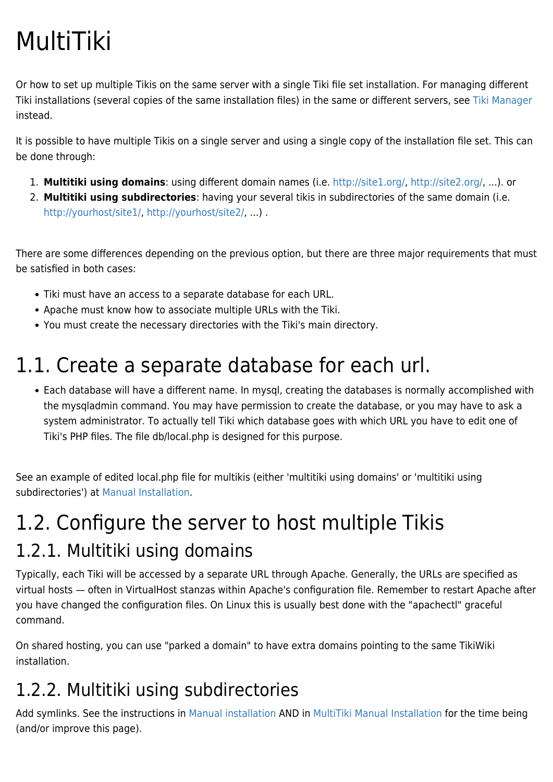# MultiTiki

Or how to set up multiple Tikis on the same server with a single Tiki file set installation. For managing different Tiki installations (several copies of the same installation files) in the same or different servers, see [Tiki Manager](https://doc.tiki.org/Manager) instead.

It is possible to have multiple Tikis on a single server and using a single copy of the installation file set. This can be done through:

- 1. **Multitiki using domains**: using different domain names (i.e. <http://site1.org/>, [http://site2.org/,](http://site2.org/) ...). or
- 2. **Multitiki using subdirectories**: having your several tikis in subdirectories of the same domain (i.e. [http://yourhost/site1/, http://yourhost/site2/,](#page--1-0) ...) .

There are some differences depending on the previous option, but there are three major requirements that must be satisfied in both cases:

- Tiki must have an access to a separate database for each URL.
- Apache must know how to associate multiple URLs with the Tiki.
- You must create the necessary directories with the Tiki's main directory.

### 1.1. Create a separate database for each url.

Each database will have a different name. In mysql, creating the databases is normally accomplished with the mysqladmin command. You may have permission to create the database, or you may have to ask a system administrator. To actually tell Tiki which database goes with which URL you have to edit one of Tiki's PHP files. The file db/local.php is designed for this purpose.

See an example of edited local.php file for multikis (either 'multitiki using domains' or 'multitiki using subdirectories') at [Manual Installation](https://doc.tiki.org/Manual-Installation).

### 1.2. Configure the server to host multiple Tikis 1.2.1. Multitiki using domains

Typically, each Tiki will be accessed by a separate URL through Apache. Generally, the URLs are specified as virtual hosts — often in VirtualHost stanzas within Apache's configuration file. Remember to restart Apache after you have changed the configuration files. On Linux this is usually best done with the "apachectl" graceful command.

On shared hosting, you can use "parked a domain" to have extra domains pointing to the same TikiWiki installation.

### 1.2.2. Multitiki using subdirectories

Add symlinks. See the instructions in [Manual installation](https://doc.tiki.org/Manual-Installation) AND in [MultiTiki Manual Installation](https://doc.tiki.org/MultiTiki-Manual-Installation) for the time being (and/or improve this page).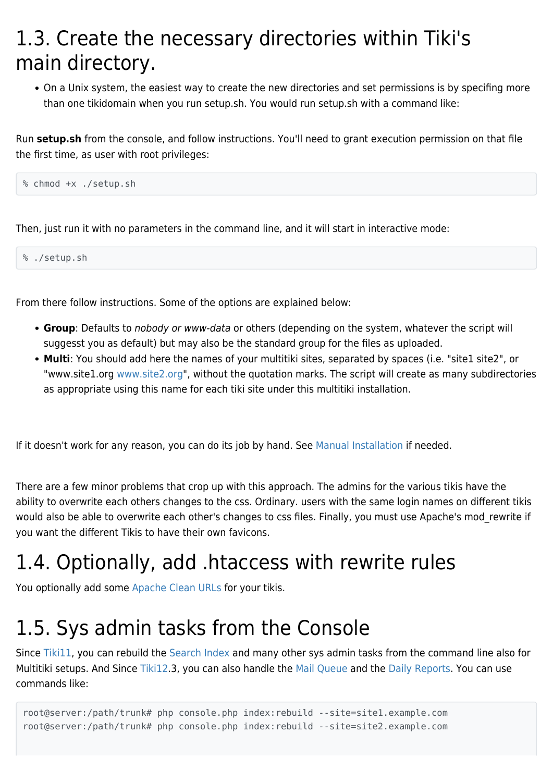### 1.3. Create the necessary directories within Tiki's main directory.

On a Unix system, the easiest way to create the new directories and set permissions is by specifing more than one tikidomain when you run setup.sh. You would run setup.sh with a command like:

Run **setup.sh** from the console, and follow instructions. You'll need to grant execution permission on that file the first time, as user with root privileges:

```
% chmod +x ./setup.sh
```
Then, just run it with no parameters in the command line, and it will start in interactive mode:

% ./setup.sh

From there follow instructions. Some of the options are explained below:

- **Group**: Defaults to nobody or www-data or others (depending on the system, whatever the script will suggesst you as default) but may also be the standard group for the files as uploaded.
- **Multi**: You should add here the names of your multitiki sites, separated by spaces (i.e. "site1 site2", or "www.site1.org [www.site2.org](http://www.site2.org)", without the quotation marks. The script will create as many subdirectories as appropriate using this name for each tiki site under this multitiki installation.

If it doesn't work for any reason, you can do its job by hand. See [Manual Installation](https://doc.tiki.org/Manual-Installation) if needed.

There are a few minor problems that crop up with this approach. The admins for the various tikis have the ability to overwrite each others changes to the css. Ordinary. users with the same login names on different tikis would also be able to overwrite each other's changes to css files. Finally, you must use Apache's mod\_rewrite if you want the different Tikis to have their own favicons.

### 1.4. Optionally, add .htaccess with rewrite rules

You optionally add some [Apache Clean URLs](https://doc.tiki.org/Apache-Clean-URLs) for your tikis.

### 1.5. Sys admin tasks from the Console

Since [Tiki11,](https://doc.tiki.org/Tiki11) you can rebuild the [Search Index](https://doc.tiki.org/Search%20Index) and many other sys admin tasks from the command line also for Multitiki setups. And Since [Tiki12.](https://doc.tiki.org/Tiki12)3, you can also handle the [Mail Queue](https://doc.tiki.org/Mail-Queue) and the [Daily Reports](https://doc.tiki.org/Daily-Reports). You can use commands like:

root@server:/path/trunk# php console.php index:rebuild --site=site1.example.com root@server:/path/trunk# php console.php index:rebuild --site=site2.example.com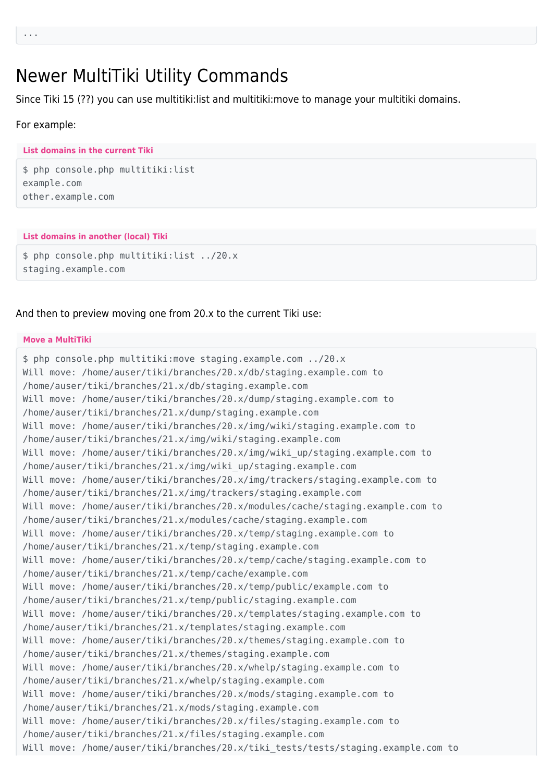### Newer MultiTiki Utility Commands

Since Tiki 15 (??) you can use multitiki:list and multitiki:move to manage your multitiki domains.

#### For example:

#### **List domains in the current Tiki**

\$ php console.php multitiki:list example.com other.example.com

#### **List domains in another (local) Tiki**

\$ php console.php multitiki:list ../20.x staging.example.com

#### And then to preview moving one from 20.x to the current Tiki use:

#### **Move a MultiTiki**

```
$ php console.php multitiki:move staging.example.com ../20.x
Will move: /home/auser/tiki/branches/20.x/db/staging.example.com to
/home/auser/tiki/branches/21.x/db/staging.example.com
Will move: /home/auser/tiki/branches/20.x/dump/staging.example.com to
/home/auser/tiki/branches/21.x/dump/staging.example.com
Will move: /home/auser/tiki/branches/20.x/img/wiki/staging.example.com to
/home/auser/tiki/branches/21.x/img/wiki/staging.example.com
Will move: /home/auser/tiki/branches/20.x/img/wiki_up/staging.example.com to
/home/auser/tiki/branches/21.x/img/wiki_up/staging.example.com
Will move: /home/auser/tiki/branches/20.x/img/trackers/staging.example.com to
/home/auser/tiki/branches/21.x/img/trackers/staging.example.com
Will move: /home/auser/tiki/branches/20.x/modules/cache/staging.example.com to
/home/auser/tiki/branches/21.x/modules/cache/staging.example.com
Will move: /home/auser/tiki/branches/20.x/temp/staging.example.com to
/home/auser/tiki/branches/21.x/temp/staging.example.com
Will move: /home/auser/tiki/branches/20.x/temp/cache/staging.example.com to
/home/auser/tiki/branches/21.x/temp/cache/example.com
Will move: /home/auser/tiki/branches/20.x/temp/public/example.com to
/home/auser/tiki/branches/21.x/temp/public/staging.example.com
Will move: /home/auser/tiki/branches/20.x/templates/staging.example.com to
/home/auser/tiki/branches/21.x/templates/staging.example.com
Will move: /home/auser/tiki/branches/20.x/themes/staging.example.com to
/home/auser/tiki/branches/21.x/themes/staging.example.com
Will move: /home/auser/tiki/branches/20.x/whelp/staging.example.com to
/home/auser/tiki/branches/21.x/whelp/staging.example.com
Will move: /home/auser/tiki/branches/20.x/mods/staging.example.com to
/home/auser/tiki/branches/21.x/mods/staging.example.com
Will move: /home/auser/tiki/branches/20.x/files/staging.example.com to
/home/auser/tiki/branches/21.x/files/staging.example.com
Will move: /home/auser/tiki/branches/20.x/tiki_tests/tests/staging.example.com to
```